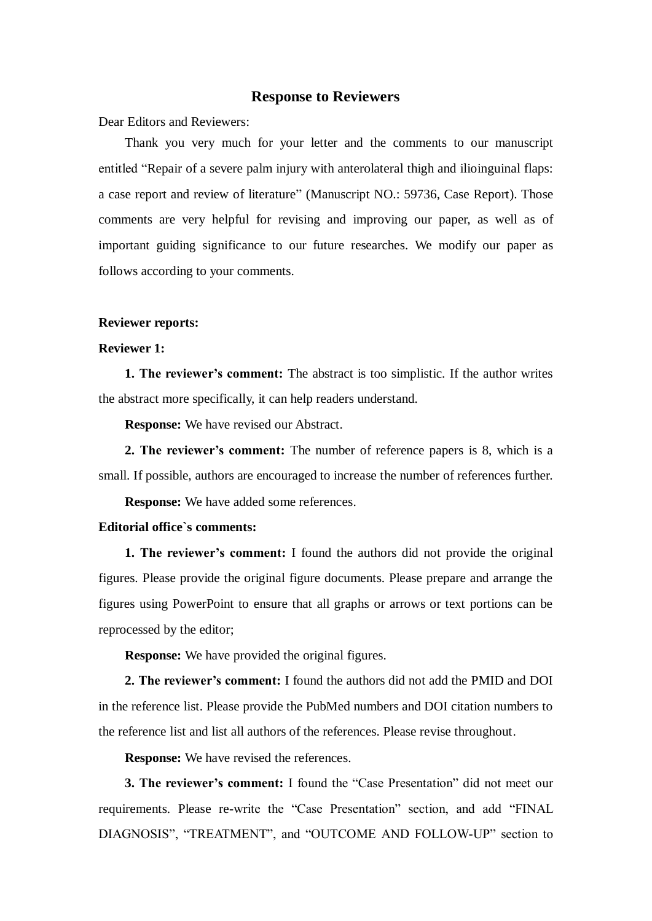## **Response to Reviewers**

Dear Editors and Reviewers:

Thank you very much for your letter and the comments to our manuscript entitled "Repair of a severe palm injury with anterolateral thigh and ilioinguinal flaps: a case report and review of literature" (Manuscript NO.: 59736, Case Report). Those comments are very helpful for revising and improving our paper, as well as of important guiding significance to our future researches. We modify our paper as follows according to your comments.

## **Reviewer reports:**

## **Reviewer 1:**

**1. The reviewer's comment:** The abstract is too simplistic. If the author writes the abstract more specifically, it can help readers understand.

**Response:** We have revised our Abstract.

**2. The reviewer's comment:** The number of reference papers is 8, which is a small. If possible, authors are encouraged to increase the number of references further.

**Response:** We have added some references.

## **Editorial office`s comments:**

**1. The reviewer's comment:** I found the authors did not provide the original figures. Please provide the original figure documents. Please prepare and arrange the figures using PowerPoint to ensure that all graphs or arrows or text portions can be reprocessed by the editor;

**Response:** We have provided the original figures.

**2. The reviewer's comment:** I found the authors did not add the PMID and DOI in the reference list. Please provide the PubMed numbers and DOI citation numbers to the reference list and list all authors of the references. Please revise throughout.

**Response:** We have revised the references.

**3. The reviewer's comment:** I found the "Case Presentation" did not meet our requirements. Please re-write the "Case Presentation" section, and add "FINAL DIAGNOSIS", "TREATMENT", and "OUTCOME AND FOLLOW-UP" section to